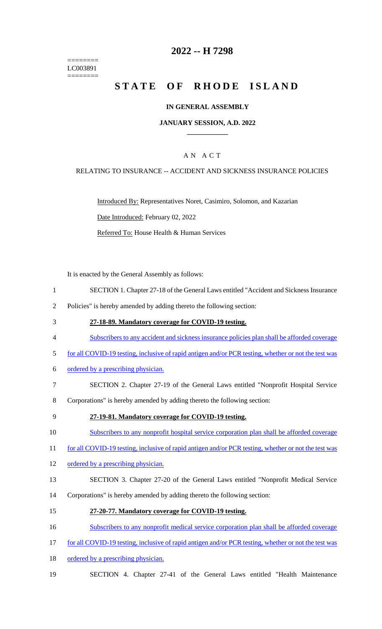======== LC003891 ========

## **2022 -- H 7298**

# **STATE OF RHODE ISLAND**

#### **IN GENERAL ASSEMBLY**

#### **JANUARY SESSION, A.D. 2022 \_\_\_\_\_\_\_\_\_\_\_\_**

### A N A C T

#### RELATING TO INSURANCE -- ACCIDENT AND SICKNESS INSURANCE POLICIES

Introduced By: Representatives Noret, Casimiro, Solomon, and Kazarian Date Introduced: February 02, 2022 Referred To: House Health & Human Services

It is enacted by the General Assembly as follows:

- 1 SECTION 1. Chapter 27-18 of the General Laws entitled "Accident and Sickness Insurance
- 2 Policies" is hereby amended by adding thereto the following section:
- 3 **27-18-89. Mandatory coverage for COVID-19 testing.**
- 4 Subscribers to any accident and sickness insurance policies plan shall be afforded coverage
- 5 for all COVID-19 testing, inclusive of rapid antigen and/or PCR testing, whether or not the test was
- 6 ordered by a prescribing physician.
- 7 SECTION 2. Chapter 27-19 of the General Laws entitled "Nonprofit Hospital Service
- 8 Corporations" is hereby amended by adding thereto the following section:
- 9 **27-19-81. Mandatory coverage for COVID-19 testing.**

10 Subscribers to any nonprofit hospital service corporation plan shall be afforded coverage

- 11 for all COVID-19 testing, inclusive of rapid antigen and/or PCR testing, whether or not the test was
- 12 ordered by a prescribing physician.
- 13 SECTION 3. Chapter 27-20 of the General Laws entitled "Nonprofit Medical Service
- 14 Corporations" is hereby amended by adding thereto the following section:
- 15 **27-20-77. Mandatory coverage for COVID-19 testing.**
- 16 Subscribers to any nonprofit medical service corporation plan shall be afforded coverage
- 17 for all COVID-19 testing, inclusive of rapid antigen and/or PCR testing, whether or not the test was
- 18 ordered by a prescribing physician.
- 19 SECTION 4. Chapter 27-41 of the General Laws entitled "Health Maintenance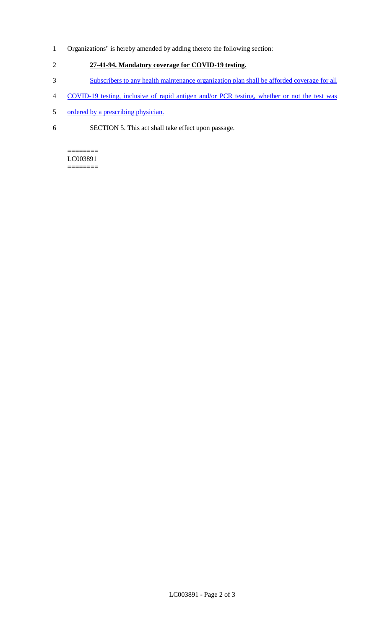- 1 Organizations" is hereby amended by adding thereto the following section:
- 2 **27-41-94. Mandatory coverage for COVID-19 testing.**
- 3 Subscribers to any health maintenance organization plan shall be afforded coverage for all
- 4 COVID-19 testing, inclusive of rapid antigen and/or PCR testing, whether or not the test was
- 5 ordered by a prescribing physician.
- 6 SECTION 5. This act shall take effect upon passage.

### ======== LC003891

========